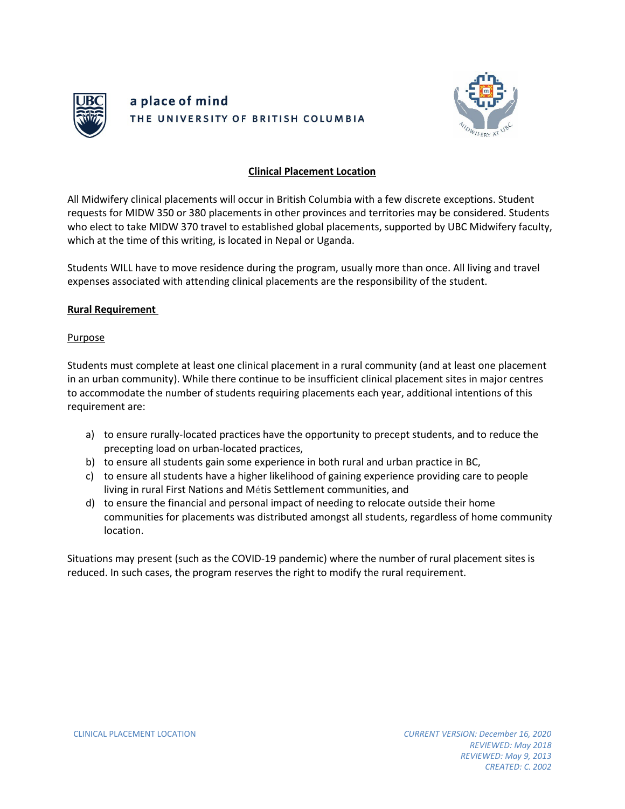



## **Clinical Placement Location**

All Midwifery clinical placements will occur in British Columbia with a few discrete exceptions. Student requests for MIDW 350 or 380 placements in other provinces and territories may be considered. Students who elect to take MIDW 370 travel to established global placements, supported by UBC Midwifery faculty, which at the time of this writing, is located in Nepal or Uganda.

Students WILL have to move residence during the program, usually more than once. All living and travel expenses associated with attending clinical placements are the responsibility of the student.

## **Rural Requirement**

## Purpose

Students must complete at least one clinical placement in a rural community (and at least one placement in an urban community). While there continue to be insufficient clinical placement sites in major centres to accommodate the number of students requiring placements each year, additional intentions of this requirement are:

- a) to ensure rurally-located practices have the opportunity to precept students, and to reduce the precepting load on urban-located practices,
- b) to ensure all students gain some experience in both rural and urban practice in BC,
- c) to ensure all students have a higher likelihood of gaining experience providing care to people living in rural First Nations and Métis Settlement communities, and
- d) to ensure the financial and personal impact of needing to relocate outside their home communities for placements was distributed amongst all students, regardless of home community location.

Situations may present (such as the COVID-19 pandemic) where the number of rural placement sites is reduced. In such cases, the program reserves the right to modify the rural requirement.